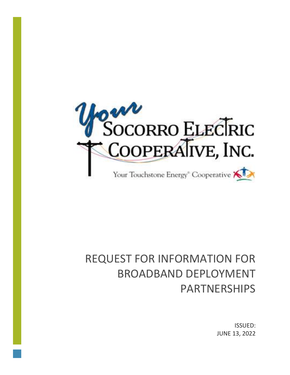

# REQUEST FOR INFORMATION FOR BROADBAND DEPLOYMENT PARTNERSHIPS

ISSUED: JUNE 13, 2022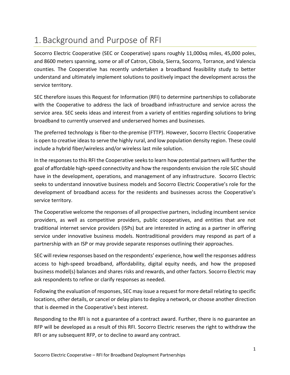## 1. Background and Purpose of RFI

Socorro Electric Cooperative (SEC or Cooperative) spans roughly 11,000sq miles, 45,000 poles, and 8600 meters spanning, some or all of Catron, Cibola, Sierra, Socorro, Torrance, and Valencia counties. The Cooperative has recently undertaken a broadband feasibility study to better understand and ultimately implement solutions to positively impact the development across the service territory.

SEC therefore issues this Request for Information (RFI) to determine partnerships to collaborate with the Cooperative to address the lack of broadband infrastructure and service across the service area. SEC seeks ideas and interest from a variety of entities regarding solutions to bring broadband to currently unserved and underserved homes and businesses.

The preferred technology is fiber-to-the-premise (FTTP). However, Socorro Electric Cooperative is open to creative ideas to serve the highly rural, and low population density region. These could include a hybrid fiber/wireless and/or wireless last mile solution.

In the responses to this RFI the Cooperative seeks to learn how potential partners will further the goal of affordable high-speed connectivity and how the respondents envision the role SEC should have in the development, operations, and management of any infrastructure. Socorro Electric seeks to understand innovative business models and Socorro Electric Cooperative's role for the development of broadband access for the residents and businesses across the Cooperative's service territory.

The Cooperative welcome the responses of all prospective partners, including incumbent service providers, as well as competitive providers, public cooperatives, and entities that are not traditional internet service providers (ISPs) but are interested in acting as a partner in offering service under innovative business models. Nontraditional providers may respond as part of a partnership with an ISP or may provide separate responses outlining their approaches.

SEC will review responses based on the respondents' experience, how well the responses address access to high-speed broadband, affordability, digital equity needs, and how the proposed business model(s) balances and shares risks and rewards, and other factors. Socorro Electric may ask respondents to refine or clarify responses as needed.

Following the evaluation of responses, SEC may issue a request for more detail relating to specific locations, other details, or cancel or delay plans to deploy a network, or choose another direction that is deemed in the Cooperative's best interest.

Responding to the RFI is not a guarantee of a contract award. Further, there is no guarantee an RFP will be developed as a result of this RFI. Socorro Electric reserves the right to withdraw the RFI or any subsequent RFP, or to decline to award any contract.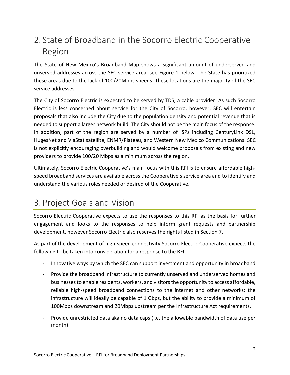## 2. State of Broadband in the Socorro Electric Cooperative Region

The State of New Mexico's Broadband Map shows a significant amount of underserved and unserved addresses across the SEC service area, see Figure 1 below. The State has prioritized these areas due to the lack of 100/20Mbps speeds. These locations are the majority of the SEC service addresses.

The City of Socorro Electric is expected to be served by TDS, a cable provider. As such Socorro Electric is less concerned about service for the City of Socorro, however, SEC will entertain proposals that also include the City due to the population density and potential revenue that is needed to support a larger network build. The City should not be the main focus of the response. In addition, part of the region are served by a number of ISPs including CenturyLink DSL, HugesNet and ViaStat satellite, ENMR/Plateau, and Western New Mexico Communications. SEC is not explicitly encouraging overbuilding and would welcome proposals from existing and new providers to provide 100/20 Mbps as a minimum across the region.

Ultimately, Socorro Electric Cooperative's main focus with this RFI is to ensure affordable highspeed broadband services are available across the Cooperative's service area and to identify and understand the various roles needed or desired of the Cooperative.

# 3. Project Goals and Vision

Socorro Electric Cooperative expects to use the responses to this RFI as the basis for further engagement and looks to the responses to help inform grant requests and partnership development, however Socorro Electric also reserves the rights listed in Section 7.

As part of the development of high-speed connectivity Socorro Electric Cooperative expects the following to be taken into consideration for a response to the RFI:

- Innovative ways by which the SEC can support investment and opportunity in broadband
- Provide the broadband infrastructure to currently unserved and underserved homes and businesses to enable residents, workers, and visitors the opportunity to access affordable, reliable high-speed broadband connections to the internet and other networks; the infrastructure will ideally be capable of 1 Gbps, but the ability to provide a minimum of 100Mbps downstream and 20Mbps upstream per the Infrastructure Act requirements.
- Provide unrestricted data aka no data caps (i.e. the allowable bandwidth of data use per month)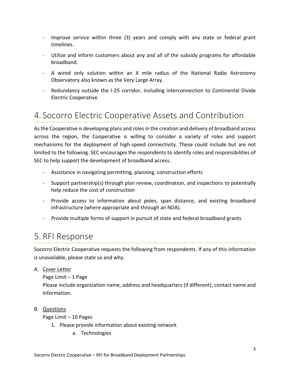- Improve service within three (3) years and comply with any state or federal grant timelines.
- Utilize and inform customers about any and all of the subsidy programs for affordable broadband.
- A wired only solution within an X mile radius of the National Radio Astronomy Observatory also known as the Very Large Array.
- Redundancy outside the I-25 corridor, including interconnection to Continental Divide Electric Cooperative

### 4. Socorro Electric Cooperative Assets and Contribution

As the Cooperative is developing plans and roles in the creation and delivery of broadband access across the region, the Cooperative is willing to consider a variety of roles and support mechanisms for the deployment of high-speed connectivity. These could include but are not limited to the following. SEC encourages the respondents to identify roles and responsibilities of SEC to help support the development of broadband access.

- Assistance in navigating permitting, planning, construction efforts
- Support partnership(s) through plan review, coordination, and inspections to potentially help reduce the cost of construction
- Provide access to information about poles, span distance, and existing broadband infrastructure (where appropriate and through an NDA).
- Provide multiple forms of support in pursuit of state and federal broadband grants.

### 5. RFI Response

Socorro Electric Cooperative requests the following from respondents. If any of this information is unavailable, please state so and why.

#### A. Cover Letter

Page Limit – 1 Page Please include organization name, address and headquarters (if different), contact name and information.

#### B. Questions

Page Limit – 10 Pages

- 1. Please provide information about existing network
	- a. Technologies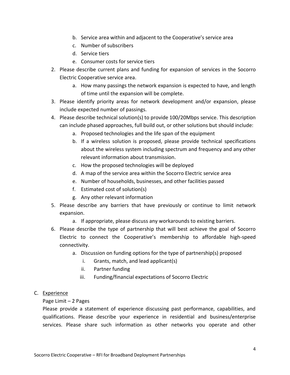- b. Service area within and adjacent to the Cooperative's service area
- c. Number of subscribers
- d. Service tiers
- e. Consumer costs for service tiers
- 2. Please describe current plans and funding for expansion of services in the Socorro Electric Cooperative service area.
	- a. How many passings the network expansion is expected to have, and length of time until the expansion will be complete.
- 3. Please identify priority areas for network development and/or expansion, please include expected number of passings.
- 4. Please describe technical solution(s) to provide 100/20Mbps service. This description can include phased approaches, full build out, or other solutions but should include:
	- a. Proposed technologies and the life span of the equipment
	- b. If a wireless solution is proposed, please provide technical specifications about the wireless system including spectrum and frequency and any other relevant information about transmission.
	- c. How the proposed technologies will be deployed
	- d. A map of the service area within the Socorro Electric service area
	- e. Number of households, businesses, and other facilities passed
	- f. Estimated cost of solution(s)
	- g. Any other relevant information
- 5. Please describe any barriers that have previously or continue to limit network expansion.
	- a. If appropriate, please discuss any workarounds to existing barriers.
- 6. Please describe the type of partnership that will best achieve the goal of Socorro Electric to connect the Cooperative's membership to affordable high-speed connectivity.
	- a. Discussion on funding options for the type of partnership(s) proposed
		- i. Grants, match, and lead applicant(s)
		- ii. Partner funding
		- iii. Funding/financial expectations of Socorro Electric

#### C. Experience

#### Page Limit – 2 Pages

Please provide a statement of experience discussing past performance, capabilities, and qualifications. Please describe your experience in residential and business/enterprise services. Please share such information as other networks you operate and other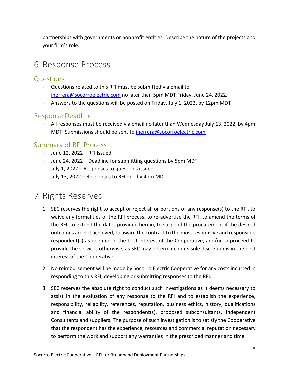partnerships with governments or nonprofit entities. Describe the nature of the projects and your firm's role.

### 6. Response Process

### Questions

- Questions related to this RFI must be submitted via email to [jherrera@socorroelectric.com](mailto:jherrera@socorroelectric.com) no later than 5pm MDT Friday, June 24, 2022.
- Answers to the questions will be posted on Friday, July 1, 2022, by 12pm MDT

### Response Deadline

All responses must be received via email no later than Wednesday July 13, 2022, by 4pm MDT. Submissions should be sent to *jherrera@socorroelectric.com* 

### Summary of RFI Process

- June 12, 2022 RFI Issued
- June 24, 2022 Deadline for submitting questions by 5pm MDT
- July 1, 2022 Responses to questions issued
- July 13, 2022 Responses to RFI due by 4pm MDT

### 7. Rights Reserved

- 1. SEC reserves the right to accept or reject all or portions of any response(s) to the RFI, to waive any formalities of the RFI process, to re-advertise the RFI, to amend the terms of the RFI, to extend the dates provided herein, to suspend the procurement if the desired outcomes are not achieved, to award the contract to the most responsive and responsible respondent(s) as deemed in the best interest of the Cooperative, and/or to proceed to provide the services otherwise, as SEC may determine in its sole discretion is in the best interest of the Cooperative.
- 2. No reimbursement will be made by Socorro Electric Cooperative for any costs incurred in responding to this RFI, developing or submitting responses to the RFI.
- 3. SEC reserves the absolute right to conduct such investigations as it deems necessary to assist in the evaluation of any response to the RFI and to establish the experience, responsibility, reliability, references, reputation, business ethics, history, qualifications and financial ability of the respondent(s), proposed subconsultants, Independent Consultants and suppliers. The purpose of such investigation is to satisfy the Cooperative that the respondent has the experience, resources and commercial reputation necessary to perform the work and support any warranties in the prescribed manner and time.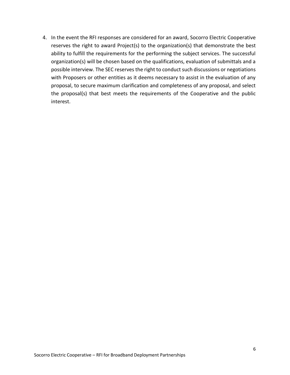4. In the event the RFI responses are considered for an award, Socorro Electric Cooperative reserves the right to award Project(s) to the organization(s) that demonstrate the best ability to fulfill the requirements for the performing the subject services. The successful organization(s) will be chosen based on the qualifications, evaluation of submittals and a possible interview. The SEC reserves the right to conduct such discussions or negotiations with Proposers or other entities as it deems necessary to assist in the evaluation of any proposal, to secure maximum clarification and completeness of any proposal, and select the proposal(s) that best meets the requirements of the Cooperative and the public interest.